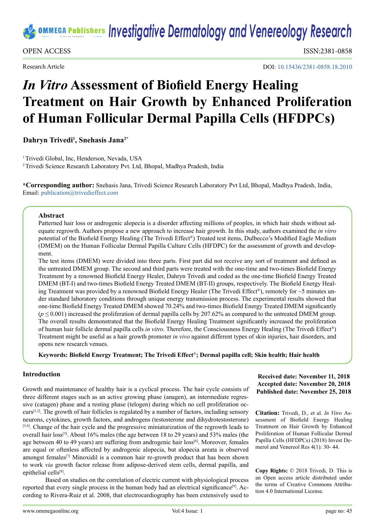# **<u>***IDDEGA Publishers Investigative Dermatology and Venereology Research</u></u>*

OPEN ACCESS ISSN:2381-0858

Research Article

DOI: [10.15436/2381-0858.18.2010](https://doi.org/10.15436/2381-0858.18.2010)

# *In Vitro* **Assessment of Biofield Energy Healing Treatment on Hair Growth by Enhanced Proliferation of Human Follicular Dermal Papilla Cells (HFDPCs)**

**Dahryn Trivedi<sup>1</sup> , Snehasis Jana2\***

<sup>1</sup> Trivedi Global, Inc, Henderson, Nevada, USA 2 Trivedi Science Research Laboratory Pvt. Ltd, Bhopal, Madhya Pradesh, India

**\*Corresponding author:** Snehasis Jana, Trivedi Science Research Laboratory Pvt Ltd, Bhopal, Madhya Pradesh, India, Email: [publication@trivedieffect.com](mailto:publication%40trivedieffect.com?subject=)

#### **Abstract**

Patterned hair loss or androgenic alopecia is a disorder affecting millions of peoples, in which hair sheds without adequate regrowth. Authors propose a new approach to increase hair growth. In this study, authors examined the *in vitro* potential of the Biofield Energy Healing (The Trivedi Effect®) Treated test items, Dulbecco's Modified Eagle Medium (DMEM) on the Human Follicular Dermal Papilla Culture Cells (HFDPC) for the assessment of growth and development.

The test items (DMEM) were divided into three parts. First part did not receive any sort of treatment and defined as the untreated DMEM group. The second and third parts were treated with the one-time and two-times Biofield Energy Treatment by a renowned Biofield Energy Healer, Dahryn Trivedi and coded as the one-time Biofield Energy Treated DMEM (BT-I) and two-times Biofield Energy Treated DMEM (BT-II) groups, respectively. The Biofield Energy Healing Treatment was provided by a renowned Biofield Energy Healer (The Trivedi Effect®), remotely for  $\sim$ 5 minutes under standard laboratory conditions through unique energy transmission process. The experimental results showed that one-time Biofield Energy Treated DMEM showed 70.24% and two-times Biofield Energy Treated DMEM significantly (*p ≤* 0.001) increased the proliferation of dermal papilla cells by 207.62% as compared to the untreated DMEM group. The overall results demonstrated that the Biofield Energy Healing Treatment significantly increased the proliferation of human hair follicle dermal papilla cells *in vitro*. Therefore, the Consciousness Energy Healing (The Trivedi Effect®) Treatment might be useful as a hair growth promoter *in vivo* against different types of skin injuries, hair disorders, and opens new research venues.

**Keywords: Biofield Energy Treatment; The Trivedi Effect**®**; Dermal papilla cell; Skin health; Hair health**

# **Introduction**

Growth and maintenance of healthy hair is a cyclical process. The hair cycle consists of three different stages such as an active growing phase (anagen), an intermediate regressive (catagen) phase and a resting phase (telogen) during which no cell proliferation oc $curs^{[1,2]}$ . The growth of hair follicles is regulated by a number of factors, including sensory neurons, cytokines, growth factors, and androgens (testosterone and dihydrotestosterone) [\[3,4\]](#page-3-1). Change of the hair cycle and the progressive miniaturization of the regrowth leads to overall hair loss<sup>[5]</sup>. About 16% males (the age between 18 to 29 years) and 53% males (the age between 40 to 49 years) are suffering from androgenic hair  $loss<sup>[6]</sup>$  $loss<sup>[6]</sup>$  $loss<sup>[6]</sup>$ . Moreover, females are equal or oftenless affected by androgenic alopecia, but alopecia areata is observed amongst females<sup>[\[7\]](#page-3-4)</sup> Minoxidil is a common hair re-growth product that has been shown to work *via* growth factor release from adipose-derived stem cells, dermal papilla, and epithelial cells<sup>[8]</sup>.

Based on studies on the correlation of electric current with physiological process reported that every single process in the human body had an electrical significance<sup>[9]</sup>. According to Rivera-Ruiz et al. 2008, that electrocardiography has been extensively used to

#### **Received date: November 11, 2018 Accepted date: November 20, 2018 Published date: November 25, 2018**

**Citation:** Trivedi, D., et al. *In Vitro* Assessment of Biofield Energy Healing Treatment on Hair Growth by Enhanced Proliferation of Human Follicular Dermal Papilla Cells (HFDPCs) (2018) Invest Demerol and Venereol Res 4(1): 30- 44.

**Copy Rights:** © 2018 Trivedi, D. This is an Open access article distributed under the terms of Creative Commons Attribution 4.0 International License.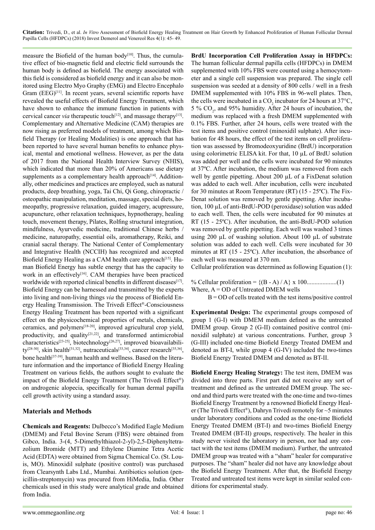**Citation:** Trivedi, D., et al. *In Vitro* Assessment of Biofield Energy Healing Treatment on Hair Growth by Enhanced Proliferation of Human Follicular Dermal Papilla Cells (HFDPCs) (2018) Invest Demerol and Venereol Res 4(1): 45- 49.

measure the Biofield of the human body<sup>[10]</sup>. Thus, the cumulative effect of bio-magnetic field and electric field surrounds the human body is defined as biofield. The energy associated with this field is considered as biofield energy and it can also be monitored using Electro Myo Graphy (EMG) and Electro Encephalo Gram (EEG)<sup>[11]</sup>. In recent years, several scientific reports have revealed the useful effects of Biofield Energy Treatment, which have shown to enhance the immune function in patients with cervical cancer *via* therapeutic touch<sup>[12]</sup>, and massage therapy<sup>[13]</sup>. Complementary and Alternative Medicine (CAM) therapies are now rising as preferred models of treatment, among which Biofield Therapy (or Healing Modalities) is one approach that has been reported to have several human benefits to enhance physical, mental and emotional wellness. However, as per the data of 2017 from the National Health Interview Survey (NHIS), which indicated that more than 20% of Americans use dietary supplements as a complementary health approach $[14]$ . Additionally, other medicines and practices are employed, such as natural products, deep breathing, yoga, Tai Chi, Qi Gong, chiropractic / osteopathic manipulation, meditation, massage, special diets, homeopathy, progressive relaxation, guided imagery, acupressure, acupuncture, other relaxation techniques, hypnotherapy, healing touch, movement therapy, Pilates, Rolfing structural integration, mindfulness, Ayurvedic medicine, traditional Chinese herbs / medicine, naturopathy, essential oils, aromatherapy, Reiki, and cranial sacral therapy. The National Center of Complementary and Integrative Health (NCCIH) has recognized and accepted Biofield Energy Healing as a CAM health care approach<sup>[15]</sup>. Human Biofield Energy has subtle energy that has the capacity to work in an effectively<sup>[\[16\]](#page-3-13)</sup>. CAM therapies have been practiced worldwide with reported clinical benefits in different diseases<sup>[17]</sup>. Biofield Energy can be harnessed and transmitted by the experts into living and non-living things *via* the process of Biofield Energy Healing Transmission. The Trivedi Effect®-Consciousness Energy Healing Treatment has been reported with a significant effect on the physicochemical properties of metals, chemicals, ceramics, and polymers[\[18-20\]](#page-3-15), improved agricultural crop yield, productivity, and quality $[21,22]$ , and transformed antimicrobial characteristics<sup>[23-25]</sup>, biotechnology<sup>[26,27]</sup>, improved bioavailabili-ty<sup>[\[28-30\]](#page-4-0)</sup>, skin health<sup>[31,32]</sup>, nutraceuticals<sup>[33,34]</sup>, cancer research<sup>[35,36]</sup>, bone health<sup>[\[37-39\]](#page-4-4)</sup>, human health and wellness. Based on the literature information and the importance of Biofield Energy Healing Treatment on various fields, the authors sought to evaluate the impact of the Biofield Energy Treatment (The Trivedi Effect®) on androgenic alopecia, specifically for human dermal papilla cell growth activity using a standard assay.

# **Materials and Methods**

**Chemicals and Reagents:** Dulbecco's Modified Eagle Medium (DMEM) and Fetal Bovine Serum (FBS) were obtained from Gibco, India. 3-(4, 5-Dimethylthiazol-2-yl)-2,5-Diphenyltetrazolium Bromide (MTT) and Ethylene Diamine Tetra Acetic Acid (EDTA) were obtained from Sigma Chemical Co. (St. Louis, MO). Minoxidil sulphate (positive control) was purchased from Clearsynth Labs Ltd., Mumbai. Antibiotics solution (penicillin-streptomycin) was procured from HiMedia, India. Other chemicals used in this study were analytical grade and obtained from India.

**BrdU Incorporation Cell Proliferation Assay in HFDPCs:** The human follicular dermal papilla cells (HFDPCs) in DMEM supplemented with 10% FBS were counted using a hemocytometer and a single cell suspension was prepared. The single cell suspension was seeded at a density of 800 cells / well in a fresh DMEM supplemented with 10% FBS in 96-well plates. Then, the cells were incubated in a  $CO_2$  incubator for 24 hours at 37°C, 5 %  $CO<sub>2</sub>$ , and 95% humidity. After 24 hours of incubation, the medium was replaced with a fresh DMEM supplemented with 0.1% FBS. Further, after 24 hours, cells were treated with the test items and positive control (minoxidil sulphate). After incubation for 48 hours, the effect of the test items on cell proliferation was assessed by Bromodeoxyuridine (BrdU) incorporation using colorimetric ELISA kit. For that, 10 µL of BrdU solution was added per well and the cells were incubated for 90 minutes at 37ºC. After incubation, the medium was removed from each well by gentle pipetting. About 200 µL of a FixDenat solution was added to each well. After incubation, cells were incubated for 30 minutes at Room Temperature (RT) (15 - 25ºC). The Fix-Denat solution was removed by gentle pipetting. After incubation, 100 µL of anti-BrdU-POD (peroxidase) solution was added to each well. Then, the cells were incubated for 90 minutes at RT (15 - 25ºC). After incubation, the anti-BrdU-POD solution was removed by gentle pipetting. Each well was washed 3 times using 200 µL of washing solution. About 100 µL of substrate solution was added to each well. Cells were incubated for 30 minutes at RT (15 - 25ºC). After incubation, the absorbance of each well was measured at 370 nm.

Cellular proliferation was determined as following Equation (1):

% Cellular proliferation = {(B - A) / A} x 100...................(1) Where,  $A = OD$  of Untreated DMEM wells

 $B = OD$  of cells treated with the test items/positive control

**Experimental Design:** The experimental groups composed of group 1 (G-I) with DMEM medium defined as the untreated DMEM group. Group 2 (G-II) contained positive control (minoxidil sulphate) at various concentrations. Further, group 3 (G-III) included one-time Biofield Energy Treated DMEM and denoted as BT-I, while group 4 (G-IV) included the two-times Biofield Energy Treated DMEM and denoted as BT-II.

**Biofield Energy Healing Strategy:** The test item, DMEM was divided into three parts. First part did not receive any sort of treatment and defined as the untreated DMEM group. The second and third parts were treated with the one-time and two-times Biofield Energy Treatment by a renowned Biofield Energy Healer (The Trivedi Effect®), Dahryn Trivedi remotely for ~5 minutes under laboratory conditions and coded as the one-time Biofield Energy Treated DMEM (BT-I) and two-times Biofield Energy Treated DMEM (BT-II) groups, respectively. The healer in this study never visited the laboratory in person, nor had any contact with the test items (DMEM medium). Further, the untreated DMEM group was treated with a "sham" healer for comparative purposes. The "sham" healer did not have any knowledge about the Biofield Energy Treatment. After that, the Biofield Energy Treated and untreated test items were kept in similar sealed conditions for experimental study.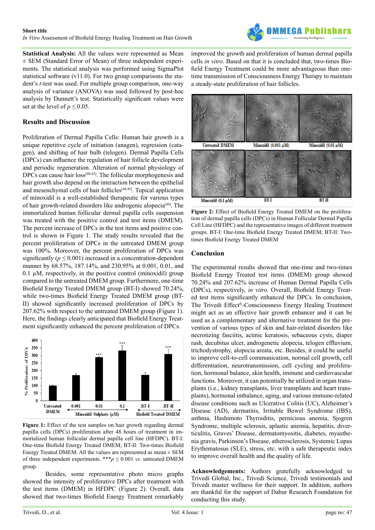

**Statistical Analysis:** All the values were represented as Mean ± SEM (Standard Error of Mean) of three independent experiments. The statistical analysis was performed using SigmaPlot statistical software (v11.0). For two group comparisons the student's *t*-test was used. For multiple group comparison, one-way analysis of variance (ANOVA) was used followed by post-hoc analysis by Dunnett's test. Statistically significant values were set at the level of  $p \le 0.05$ .

# **Results and Discussion**

Proliferation of Dermal Papilla Cells: Human hair growth is a unique repetitive cycle of initiation (anagen), regression (catagen), and shifting of hair bulb (telogen). Dermal Papilla Cells (DPCs) can influence the regulation of hair follicle development and periodic regeneration. Alteration of normal physiology of DPCs can cause hair loss<sup>[\[40-43\]](#page-4-5)</sup>. The follicular morphogenesis and hair growth also depend on the interaction between the epithelial and mesenchymal cells of hair follicles $[44,45]$ . Topical application of minoxidil is a well-established therapeutic for various types of hair growth-related disorders like androgenic alopecia[\[46\]](#page-4-7). The immortalized human follicular dermal papilla cells suspension was treated with the positive control and test items (DMEM). The percent increase of DPCs in the test items and positive control is shown in Figure 1. The study results revealed that the percent proliferation of DPCs in the untreated DMEM group was 100%. Moreover, the percent proliferation of DPCs was significantly ( $p \le 0.001$ ) increased in a concentration-dependent manner by 68.57%, 187.14%, and 230.95% at 0.001, 0.01, and  $0.1 \mu M$ , respectively, in the positive control (minoxidil) group compared to the untreated DMEM group. Furthermore, one-time Biofield Energy Treated DMEM group (BT-I) showed 70.24%, while two-times Biofield Energy Treated DMEM group (BT-II) showed significantly increased proliferation of DPCs by 207.62% with respect to the untreated DMEM group (Figure 1). Here, the findings clearly anticipated that Biofield Energy Treatment significantly enhanced the percent proliferation of DPCs.



Figure 1: Effect of the test samples on hair growth regarding dermal papilla cells (DPCs) proliferation after 48 hours of treatment in immortalized human follicular dermal papilla cell line (HFDPC). BT-I: One-time Biofield Energy Treated DMEM; BT-II: Two-times Biofield Energy Treated DMEM. All the values are represented as mean  $\pm$  SEM of three independent experiments. \*\*\* $p \leq 0.001$  *vs*. untreated DMEM group.

Besides, some representative photo micro graphs showed the intensity of proliferative DPCs after treatment with the test items (DMEM) in HFDPC (Figure 2). Overall, data showed that two-times Biofield Energy Treatment remarkably improved the growth and proliferation of human dermal papilla cells *in vitro*. Based on that it is concluded that, two-times Biofield Energy Treatment could be more advantageous than onetime transmission of Consciousness Energy Therapy to maintain a steady-state proliferation of hair follicles.



**Figure 2:** Effect of Biofield Energy Treated DMEM on the proliferation of dermal papilla cells (DPCs) in Human Follicular Dermal Papilla Cell Line (HFDPC) and the representative images of different treatment groups. BT-I: One-time Biofield Energy Treated DMEM; BT-II: Twotimes Biofield Energy Treated DMEM

# **Conclusion**

The experimental results showed that one-time and two-times Biofield Energy Treated test items (DMEM) group showed 70.24% and 207.62% increase of Human Dermal Papilla Cells (DPCs), respectively, *in vitro*. Overall, Biofield Energy Treated test items significantly enhanced the DPCs. In conclusion, The Trivedi Effect®-Consciousness Energy Healing Treatment might act as an effective hair growth enhancer and it can be used as a complementary and alternative treatment for the prevention of various types of skin and hair-related disorders like necrotizing fasciitis, actinic keratosis, sebaceous cysts, diaper rash, decubitus ulcer, androgenetic alopecia, telogen effluvium, trichodystrophy, alopecia areata, etc. Besides, it could be useful to improve cell-to-cell communication, normal cell growth, cell differentiation, neurotransmission, cell cycling and proliferation, hormonal balance, skin health, immune and cardiovascular functions. Moreover, it can potentially be utilized in organ transplants (i.e., kidney transplants, liver transplants and heart transplants), hormonal imbalance, aging, and various immune-related disease conditions such as Ulcerative Colitis (UC), Alzheimer's Disease (AD), dermatitis, Irritable Bowel Syndrome (IBS), asthma, Hashimoto Thyroiditis, pernicious anemia, Sjogren Syndrome, multiple sclerosis, aplastic anemia, hepatitis, diverticulitis, Graves' Disease, dermatomyositis, diabetes, myasthenia gravis, Parkinson's Disease, atherosclerosis, Systemic Lupus Erythematosus (SLE), stress, etc. with a safe therapeutic index to improve overall health and the quality of life.

**Acknowledgements:** Authors gratefully acknowledged to Trivedi Global, Inc., Trivedi Science, Trivedi testimonials and Trivedi master wellness for their support. In addition, authors are thankful for the support of Dabur Research Foundation for conducting this study.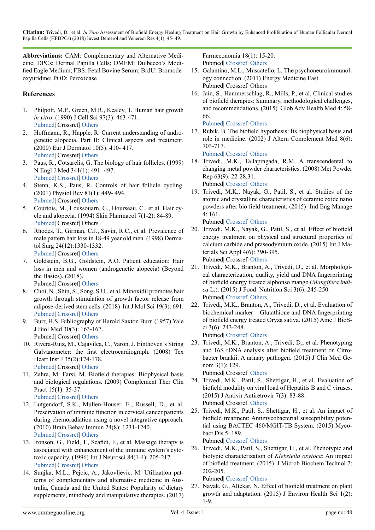**Citation:** Trivedi, D., et al. *In Vitro* Assessment of Biofield Energy Healing Treatment on Hair Growth by Enhanced Proliferation of Human Follicular Dermal Papilla Cells (HFDPCs) (2018) Invest Demerol and Venereol Res 4(1): 45- 49.

**Abbreviations:** CAM: Complementary and Alternative Medicine; DPCs: Dermal Papilla Cells; DMEM: Dulbecco's Modified Eagle Medium; FBS: Fetal Bovine Serum; BrdU: Bromodeoxyuridine; POD: Peroxidase

# **References**

- <span id="page-3-0"></span>1. Philpott, M.P., Green, M.R., Kealey, T. Human hair growth *in vitro*. (1990) J Cell Sci 97(3): 463-471. [Pubmed](https://www.ncbi.nlm.nih.gov/pubmed/1705941)| Crossref| [Others](http://jcs.biologists.org/content/97/3/463)
- 2. Hoffmann, R., Happle, R. Current understanding of androgenetic alopecia. Part II: Clinical aspects and treatment. (2000) Eur J Dermatol 10(5): 410- 417. [Pubmed](https://www.ncbi.nlm.nih.gov/pubmed/10882953)| Crossref| [Others](https://www.researchgate.net/publication/12436033_Current_understanding_of_androgenetic_alopecia_Part_II_Clinical_aspects_and_treatment)
- <span id="page-3-1"></span>3. Paus, R., Cotsarelis, G. The biology of hair follicles. (1999) N Engl J Med 341(1): 491- 497. [Pubmed](https://www.ncbi.nlm.nih.gov/pubmed/10441606)| [Crossref](https://doi.org/10.1056/NEJM199908123410706)| [Others](https://www.researchgate.net/publication/12857421_The_Biology_of_Hair_Follicles)
- 4. Stenn, K.S., Paus, R. Controls of hair follicle cycling. (2001) Physiol Rev 81(1): 449- 494. [Pubmed](https://www.ncbi.nlm.nih.gov/pubmed/11152763)| Crossref| [Others](https://www.dolcera.com/wiki/images/temp/20061231083618!Diabetes_Products_and_Services.pdf)
- <span id="page-3-2"></span>5. Courtois, M., Loussouarn, G., Hourseau, C., et al. Hair cycle and alopecia. (1994) Skin Pharmacol 7(1-2): 84-89. [Pubmed|](https://www.ncbi.nlm.nih.gov/pubmed/8003330) Crossref| Others
- <span id="page-3-3"></span>6. Rhodes, T., Girman, C.J., Savin, R.C., et al. Prevalence of male pattern hair loss in 18-49 year old men. (1998) Dermatol Surg 24(12):1330-1332. [Pubmed](https://www.ncbi.nlm.nih.gov/pubmed/9865198)| Crossref| [Others](https://www.researchgate.net/publication/13423298_Prevalence_of_Male_Pattern_Hair_Loss_in_18-49_Year_Old_Men)
- <span id="page-3-4"></span>7. Goldstein, B.G., Goldstein, A.O. Patient education: Hair loss in men and women (androgenetic alopecia) (Beyond the Basics). (2018). Pubmed| Crossref| Others
- <span id="page-3-5"></span>8. Choi, N., Shin, S., Song, S.U., et al. Minoxidil promotes hair growth through stimulation of growth factor release from adipose-derived stem cells. (2018) Int J Mol Sci 19(3): 691. [Pubmed](https://www.ncbi.nlm.nih.gov/pubmed/29495622)| [Crossref](https://doi.org/10.3390/ijms19030691.)| [Others](https://www.researchgate.net/publication/323460699_Minoxidil_Promotes_Hair_Growth_through_Stimulation_of_Growth_Factor_Release_from_Adipose-Derived_Stem_Cells)
- <span id="page-3-6"></span>9. Burr, H.S. Bibliography of Harold Saxton Burr. (1957) Yale J Biol Med 30(3): 163-167. Pubmed| Crossref| [Others](http://europepmc.org/articles/pmc2603696)
- <span id="page-3-7"></span>10. Rivera-Ruiz, M., Cajavilca, C., Varon, J. Einthoven's String Galvanometer: the first electrocardiograph. (2008) Tex Heart Inst J 35(2):174-178. [Pubmed](https://www.ncbi.nlm.nih.gov/pubmed/18612490)| Crossref| [Others](https://www.researchgate.net/publication/5239260_Einthoven%27s_String_Galvanometer_The_first_electrocardiograph)
- <span id="page-3-8"></span>11. Zahra, M. Farsi, M. Biofield therapies: Biophysical basis and biological regulations. (2009) Complement Ther Clin Pract 15(1): 35-37. [Pubmed](https://www.ncbi.nlm.nih.gov/pubmed/19161953)| [Crossref](https://doi.org/10.1016/j.ctcp.2008.07.001)| [Others](https://www.sciencedirect.com/science/article/pii/S1744388108000649)
- <span id="page-3-9"></span>12. Lutgendorf, S.K., Mullen-Houser, E., Russell, D., et al. Preservation of immune function in cervical cancer patients during chemoradiation using a novel integrative approach. (2010) Brain Behav Immun 24(8): 1231-1240. [Pubmed](https://www.ncbi.nlm.nih.gov/pubmed/20600809)| [Crossref](https://doi.org/10.1016/j.bbi.2010.06.014)| [Others](https://www.semanticscholar.org/paper/Preservation-of-immune-function-in-cervical-cancer-Lutgendorf-Mullen-Houser/288355fb3c3ab6c2a769cefd32938afa61c42e43)
- <span id="page-3-10"></span>13. Ironson, G., Field, T., Scafidi, F., et al. Massage therapy is associated with enhancement of the immune system's cytotoxic capacity. (1996) Int J Neurosci 84(1-4): 205-217. [Pubmed](https://www.ncbi.nlm.nih.gov/pubmed/8707483)| [Crossref](https://doi.org/10.3109/00207459608987266)| [Others](https://www.tandfonline.com/doi/abs/10.3109/00207459608987266)
- <span id="page-3-11"></span>14. Sunjka, M.L., Pejcic, A., Jakovljevic, M. Utilization patterns of complementary and alternative medicine in Australia, Canada and the United States: Popularity of dietary supplements, mindbody and manipulative therapies. (2017)

<span id="page-3-12"></span>Farmeconomia 18(1): 15-20. Pubmed| Crossref| [Others](https://journals.seedmedicalpublishers.com/index.php/FE/article/view/1304/1617)

- 15. Galantino, M.L., Muscatello, L. The psychoneuroimmunology connection. (2011) Energy Medicine East. Pubmed| Crossref| Others
- <span id="page-3-13"></span>16. Jain, S., Hammerschlag, R., Mills, P., et al. Clinical studies of biofield therapies: Summary, methodological challenges, and recommendations. (2015) Glob Adv Health Med 4: 58- 66.

<span id="page-3-14"></span>[Pubmed](https://www.ncbi.nlm.nih.gov/pubmed/26665043)| [Crossref|](https://doi.org/10.7453/gahmj.2015.034.suppl) [Others](https://www.semanticscholar.org/paper/Clinical-Studies-of-Biofield-Therapies%3A-Summary%2C-Jain-Hammerschlag/34afed387f90c1e3c325b443c2ef449c82799931)

17. Rubik, B. The biofield hypothesis: Its biophysical basis and role in medicine. (2002) J Altern Complement Med 8(6): 703-717.

<span id="page-3-15"></span>[Pubmed](https://www.ncbi.nlm.nih.gov/pubmed/12614524)| [Crossref|](https://doi.org/10.1089/10755530260511711) [Others](https://www.researchgate.net/publication/10875131_The_Biofield_Hypothesis_Its_Biophysical_Basis_and_Role_in_Medicine)

- 18. Trivedi, M.K., Tallapragada, R.M. A transcendental to changing metal powder characteristics. (2008) Met Powder Rep 63(9): 22-28,31. Pubmed| [Crossref|](https://doi.org/10.1016/S0026-0657(08)70145-0) [Others](https://www.sciencedirect.com/science/article/abs/pii/S0026065708701450)
- 19. Trivedi, M.K., Nayak, G., Patil, S., et al. Studies of the atomic and crystalline characteristics of ceramic oxide nano powders after bio field treatment. (2015) Ind Eng Manage 4: 161.

Pubmed| [Crossref|](https://doi.org/10.4172/2169-0316.1000161) [Others](https://www.omicsonline.org/open-access/studies-of-the-atomic-and-crystalline-characteristics-of-ceramic-oxide-nano-powders-after-bio-field-treatment-2169-0316-1000161.php?aid=57168)

- 20. Trivedi, M.K., Nayak, G., Patil, S., et al. Effect of biofield energy treatment on physical and structural properties of calcium carbide and praseodymium oxide. (2015) Int J Materials Sci Appl 4(6): 390-395. Pubmed| Crossref| [Others](http://sciencepublishinggroup.com/journal/paperinfo?journalid=123&paperId=10011650)
- <span id="page-3-16"></span>21. Trivedi, M.K., Branton, A., Trivedi, D., et al. Morphological characterization, quality, yield and DNA fingerprinting of biofield energy treated alphonso mango (*Mangifera indica* L.). (2015) J Food Nutrition Sci 3(6): 245-250. Pubmed| [Crossref|](https://doi.org/10.11648/j.jfns.20150306.18) [Others](https://www.trivedieffect.com/the-science/wp-content/uploads/2016/09/Morphological_Characterization_Quality_Yield_and_DNA_Fingerprinting_of_Biofield_Energy_Treated_Alphonso_Mango_Mangifera_indica_L.pdf)
- 22. Trivedi, M.K., Branton, A., Trivedi, D., et al. Evaluation of biochemical marker – Glutathione and DNA fingerprinting of biofield energy treated Oryza sativa. (2015) Ame J BioSci 3(6): 243-248. Pubmed| [Crossref|](https://doi.org/10.11648/j.ajbio.20150306.16) [Others](https://www.trivedieffect.com/the-science/wp-content/uploads/2016/09/Evaluation_of_Biochemical_Marker_Glutathione_and_DNA_Fingerprinting_of_Biofield_Energy_Treated_Oryza_sativa.pdf)
- <span id="page-3-17"></span>23. Trivedi, M.K., Branton, A., Trivedi, D., et al. Phenotyping and 16S rDNA analysis after biofield treatment on Citrobacter braakii: A urinary pathogen. (2015) J Clin Med Genom 3(1): 129.

Pubmed| Crossref| [Others](https://www.trivedieffect.com/the-science/publications/microbial-genetics-publications/phenotyping-and-16s-rdna-analysis-after-biofield-treatment-on-citrobacter-braakii-a-urinary-pathogen/)

- 24. Trivedi, M.K., Patil, S., Shettigar, H., et al. Evaluation of biofield modality on viral load of Hepatitis B and C viruses. (2015) J Antivir Antiretrovir 7(3): 83-88. Pubmed| Crossref| [Others](https://www.trivedieffect.com/the-science/publications/microbiology-publications/evaluation-of-biofield-modality-on-viral-load-of-hepatitis-b-and-c-viruses/)
- 25. Trivedi, M.K., Patil, S., Shettigar, H., et al. An impact of biofield treatment: Antimycobacterial susceptibility potential using BACTEC 460/MGIT-TB System. (2015) Mycobact Dis 5: 189.

<span id="page-3-18"></span>Pubmed| [Crossref|](https://doi.org/10.4172/2161-1068.1000189) [Others](https://www.omicsonline.org/open-access/an-impact-of-biofield-treatment-antimycobacterial-susceptibility-potential-using-bactec-460mgittb-system-2161-1068-1000189.php?aid=59486)

26. Trivedi, M.K., Patil, S., Shettigar, H., et al. Phenotypic and biotypic characterization of *Klebsiella oxytoca*: An impact of biofield treatment. (2015) J Microb Biochem Technol 7: 202-205.

Pubmed| [Crossref|](https://doi.org/10.4172/1948-5948.1000205) [Others](https://www.omicsonline.org/open-access/phenotypic-and-biotypic-characterization-of-klebsiella-oxytoca-an-impact-of-biofield-treatment-1948-5948-1000205.php?aid=58964)

27. Nayak, G., Altekar, N. Effect of biofield treatment on plant growth and adaptation. (2015) J Environ Health Sci 1(2): 1-9.